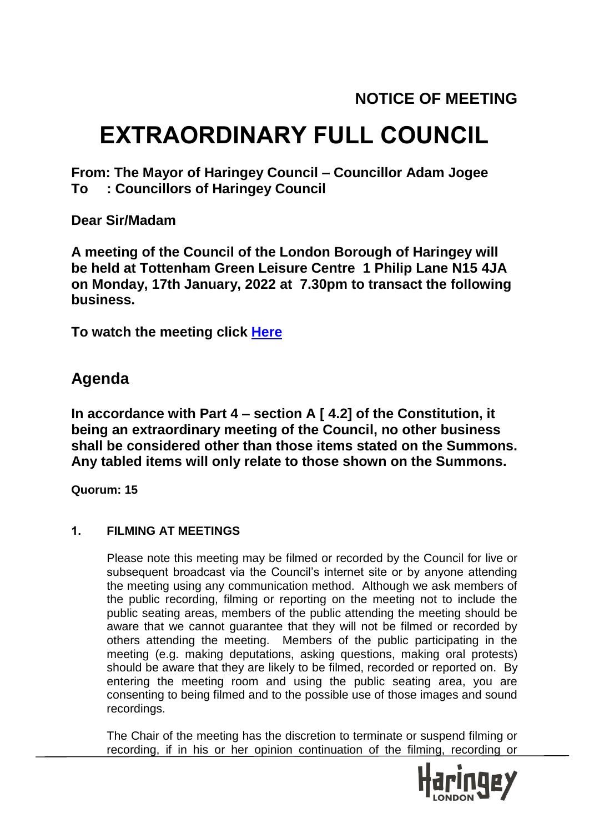# **EXTRAORDINARY FULL COUNCIL**

**From: The Mayor of Haringey Council – Councillor Adam Jogee To : Councillors of Haringey Council**

**Dear Sir/Madam**

**A meeting of the Council of the London Borough of Haringey will be held at Tottenham Green Leisure Centre 1 Philip Lane N15 4JA on Monday, 17th January, 2022 at 7.30pm to transact the following business.**

**To watch the meeting click [Here](https://teams.microsoft.com/l/meetup-join/19%3ameeting_YzdjODBiOWItNDk0MC00MTZhLWEwZmMtOGI0Y2ZhNDkwZjZh%40thread.v2/0?context=%7b%22Tid%22%3a%226ddfa760-8cd5-44a8-8e48-d8ca487731c3%22%2c%22Oid%22%3a%2223a26c29-9165-4501-876b-873e129c6319%22%2c%22IsBroadcastMeeting%22%3atrue%7d&btype=a&role=a)**

## **Agenda**

**In accordance with Part 4 – section A [ 4.2] of the Constitution, it being an extraordinary meeting of the Council, no other business shall be considered other than those items stated on the Summons. Any tabled items will only relate to those shown on the Summons.**

**Quorum: 15**

### **1. FILMING AT MEETINGS**

Please note this meeting may be filmed or recorded by the Council for live or subsequent broadcast via the Council's internet site or by anyone attending the meeting using any communication method. Although we ask members of the public recording, filming or reporting on the meeting not to include the public seating areas, members of the public attending the meeting should be aware that we cannot guarantee that they will not be filmed or recorded by others attending the meeting. Members of the public participating in the meeting (e.g. making deputations, asking questions, making oral protests) should be aware that they are likely to be filmed, recorded or reported on. By entering the meeting room and using the public seating area, you are consenting to being filmed and to the possible use of those images and sound recordings.

The Chair of the meeting has the discretion to terminate or suspend filming or recording, if in his or her opinion continuation of the filming, recording or